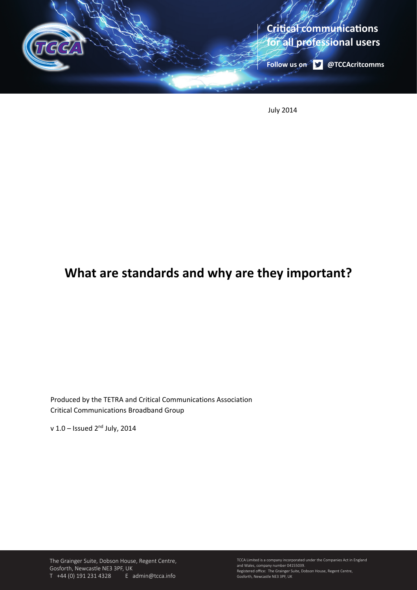

July 2014

# **What are standards and why are they important?**

Produced by the TETRA and Critical Communications Association Critical Communications Broadband Group

v  $1.0 -$  Issued  $2<sup>nd</sup>$  July, 2014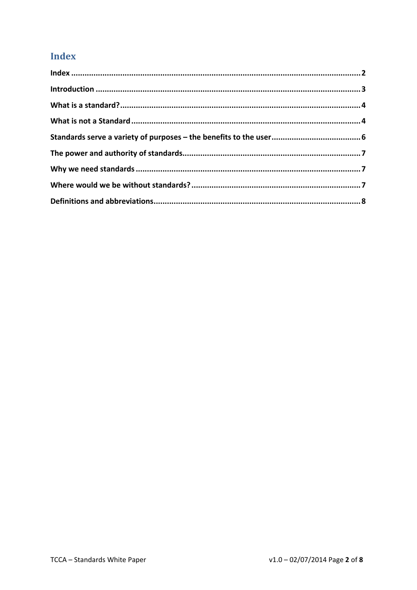# **Index**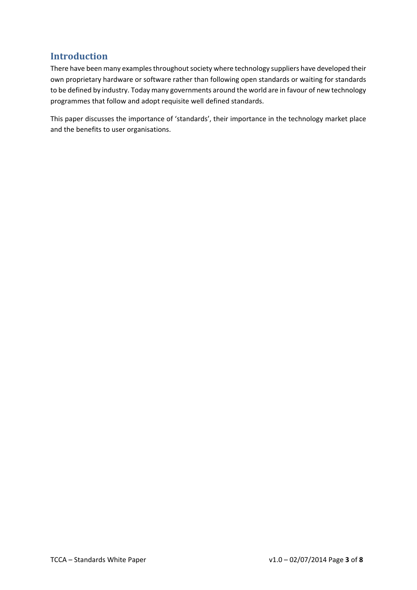### **Introduction**

There have been many examples throughout society where technology suppliers have developed their own proprietary hardware or software rather than following open standards or waiting for standards to be defined by industry. Today many governments around the world are in favour of new technology programmes that follow and adopt requisite well defined standards.

This paper discusses the importance of 'standards', their importance in the technology market place and the benefits to user organisations.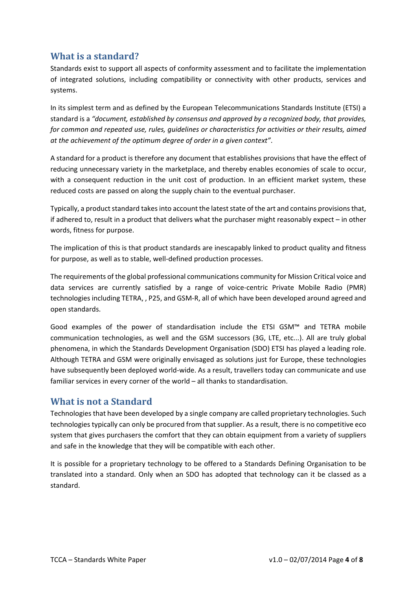#### **What is a standard?**

Standards exist to support all aspects of conformity assessment and to facilitate the implementation of integrated solutions, including compatibility or connectivity with other products, services and systems.

In its simplest term and as defined by the European Telecommunications Standards Institute (ETSI) a standard is a *"document, established by consensus and approved by a recognized body, that provides, for common and repeated use, rules, guidelines or characteristics for activities or their results, aimed at the achievement of the optimum degree of order in a given context"*.

A standard for a product is therefore any document that establishes provisions that have the effect of reducing unnecessary variety in the marketplace, and thereby enables economies of scale to occur, with a consequent reduction in the unit cost of production. In an efficient market system, these reduced costs are passed on along the supply chain to the eventual purchaser.

Typically, a product standard takes into account the latest state of the art and contains provisions that, if adhered to, result in a product that delivers what the purchaser might reasonably expect – in other words, fitness for purpose.

The implication of this is that product standards are inescapably linked to product quality and fitness for purpose, as well as to stable, well‐defined production processes.

The requirements of the global professional communications community for Mission Critical voice and data services are currently satisfied by a range of voice‐centric Private Mobile Radio (PMR) technologies including TETRA, , P25, and GSM‐R, all of which have been developed around agreed and open standards.

Good examples of the power of standardisation include the ETSI GSM™ and TETRA mobile communication technologies, as well and the GSM successors (3G, LTE, etc...). All are truly global phenomena, in which the Standards Development Organisation (SDO) ETSI has played a leading role. Although TETRA and GSM were originally envisaged as solutions just for Europe, these technologies have subsequently been deployed world‐wide. As a result, travellers today can communicate and use familiar services in every corner of the world – all thanks to standardisation.

#### **What is not a Standard**

Technologies that have been developed by a single company are called proprietary technologies. Such technologies typically can only be procured from that supplier. As a result, there is no competitive eco system that gives purchasers the comfort that they can obtain equipment from a variety of suppliers and safe in the knowledge that they will be compatible with each other.

It is possible for a proprietary technology to be offered to a Standards Defining Organisation to be translated into a standard. Only when an SDO has adopted that technology can it be classed as a standard.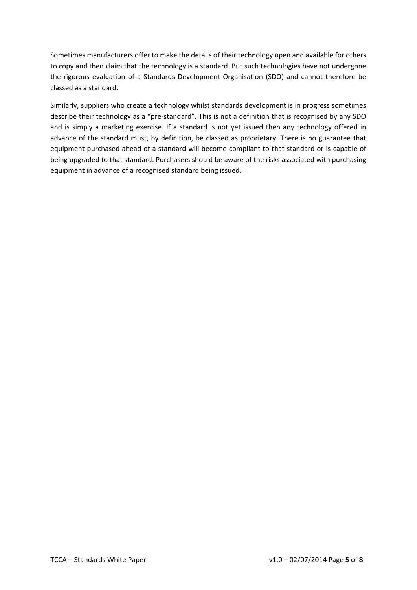Sometimes manufacturers offer to make the details of their technology open and available for others to copy and then claim that the technology is a standard. But such technologies have not undergone the rigorous evaluation of a Standards Development Organisation (SDO) and cannot therefore be classed as a standard.

Similarly, suppliers who create a technology whilst standards development is in progress sometimes describe their technology as a "pre‐standard". This is not a definition that is recognised by any SDO and is simply a marketing exercise. If a standard is not yet issued then any technology offered in advance of the standard must, by definition, be classed as proprietary. There is no guarantee that equipment purchased ahead of a standard will become compliant to that standard or is capable of being upgraded to that standard. Purchasers should be aware of the risks associated with purchasing equipment in advance of a recognised standard being issued.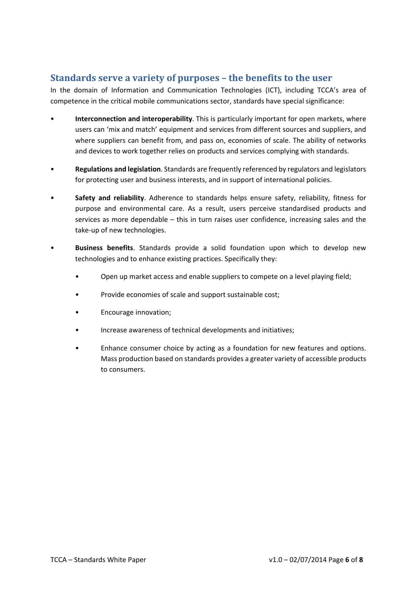#### **Standards serve a variety of purposes – the benefits to the user**

In the domain of Information and Communication Technologies (ICT), including TCCA's area of competence in the critical mobile communications sector, standards have special significance:

- **Interconnection and interoperability**. This is particularly important for open markets, where users can 'mix and match' equipment and services from different sources and suppliers, and where suppliers can benefit from, and pass on, economies of scale. The ability of networks and devices to work together relies on products and services complying with standards.
- **Regulations and legislation**. Standards are frequently referenced by regulators and legislators for protecting user and business interests, and in support of international policies.
- **Safety and reliability**. Adherence to standards helps ensure safety, reliability, fitness for purpose and environmental care. As a result, users perceive standardised products and services as more dependable – this in turn raises user confidence, increasing sales and the take‐up of new technologies.
- **Business benefits**. Standards provide a solid foundation upon which to develop new technologies and to enhance existing practices. Specifically they:
	- Open up market access and enable suppliers to compete on a level playing field;
	- Provide economies of scale and support sustainable cost;
	- Encourage innovation;
	- Increase awareness of technical developments and initiatives;
	- Enhance consumer choice by acting as a foundation for new features and options. Mass production based on standards provides a greater variety of accessible products to consumers.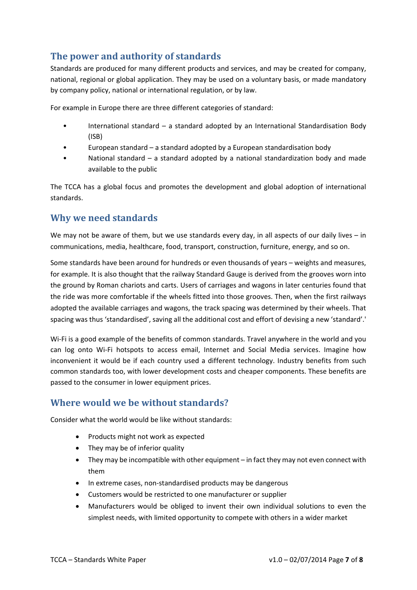# **The power and authority of standards**

Standards are produced for many different products and services, and may be created for company, national, regional or global application. They may be used on a voluntary basis, or made mandatory by company policy, national or international regulation, or by law.

For example in Europe there are three different categories of standard:

- International standard a standard adopted by an International Standardisation Body (ISB)
- European standard a standard adopted by a European standardisation body
- National standard a standard adopted by a national standardization body and made available to the public

The TCCA has a global focus and promotes the development and global adoption of international standards.

#### **Why we need standards**

We may not be aware of them, but we use standards every day, in all aspects of our daily lives  $-$  in communications, media, healthcare, food, transport, construction, furniture, energy, and so on.

Some standards have been around for hundreds or even thousands of years – weights and measures, for example. It is also thought that the railway Standard Gauge is derived from the grooves worn into the ground by Roman chariots and carts. Users of carriages and wagons in later centuries found that the ride was more comfortable if the wheels fitted into those grooves. Then, when the first railways adopted the available carriages and wagons, the track spacing was determined by their wheels. That spacing was thus 'standardised', saving all the additional cost and effort of devising a new 'standard'.'

Wi-Fi is a good example of the benefits of common standards. Travel anywhere in the world and you can log onto Wi‐Fi hotspots to access email, Internet and Social Media services. Imagine how inconvenient it would be if each country used a different technology. Industry benefits from such common standards too, with lower development costs and cheaper components. These benefits are passed to the consumer in lower equipment prices.

### **Where would we be without standards?**

Consider what the world would be like without standards:

- Products might not work as expected
- They may be of inferior quality
- They may be incompatible with other equipment in fact they may not even connect with them
- In extreme cases, non-standardised products may be dangerous
- Customers would be restricted to one manufacturer or supplier
- Manufacturers would be obliged to invent their own individual solutions to even the simplest needs, with limited opportunity to compete with others in a wider market